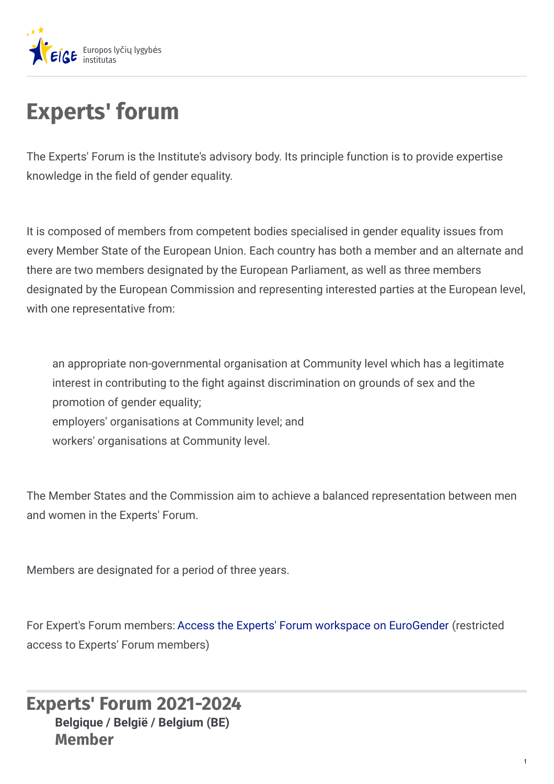

# **Experts' forum**

The Experts' Forum is the Institute's advisory body. Its principle function is to provide expertise knowledge in the field of gender equality.

It is composed of members from competent bodies specialised in gender equality issues from every Member State of the European Union. Each country has both a member and an alternate and there are two members designated by the European Parliament, as well as three members designated by the European Commission and representing interested parties at the European level, with one representative from:

an appropriate non-governmental organisation at Community level which has a legitimate interest in contributing to the fight against discrimination on grounds of sex and the promotion of gender equality; employers' organisations at Community level; and

workers' organisations at Community level.

The Member States and the Commission aim to achieve a balanced representation between men and women in the Experts' Forum.

Members are designated for a period of three years.

For Expert's Forum members: Access the Experts' Forum workspace on [EuroGender](http://eurogender.eige.europa.eu/thematic-network-workspaces/experts-forum-workspace) (restricted access to Experts' Forum members)

**Experts' Forum 2021-2024 Member Belgique / België / Belgium (BE)**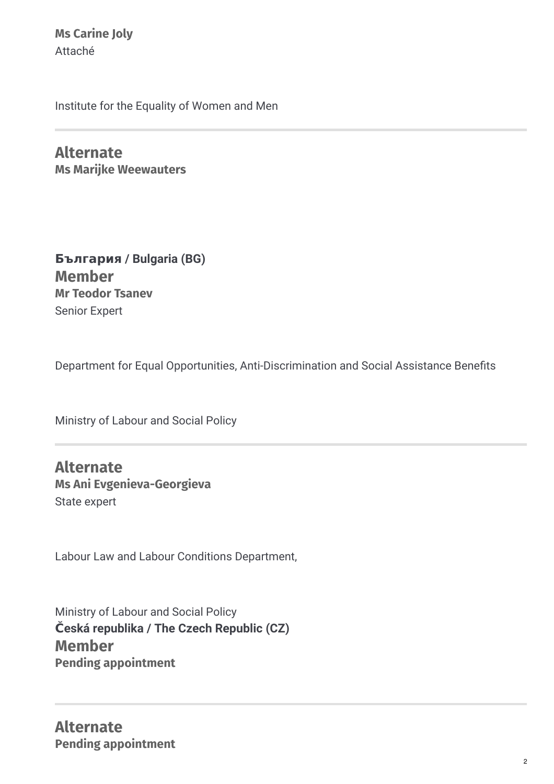**Ms Carine Joly** Attaché

Institute for the Equality of Women and Men

**Alternate Ms Marijke Weewauters**

**Member Mr Teodor Tsanev** Senior Expert **България / Bulgaria (BG)**

Department for Equal Opportunities, Anti-Discrimination and Social Assistance Benefits

Ministry of Labour and Social Policy

**Alternate Ms Ani Evgenieva-Georgieva** State expert

Labour Law and Labour Conditions Department,

Ministry of Labour and Social Policy **Member Pending appointment Česká republika / The Czech Republic (CZ)**

**Alternate Pending appointment**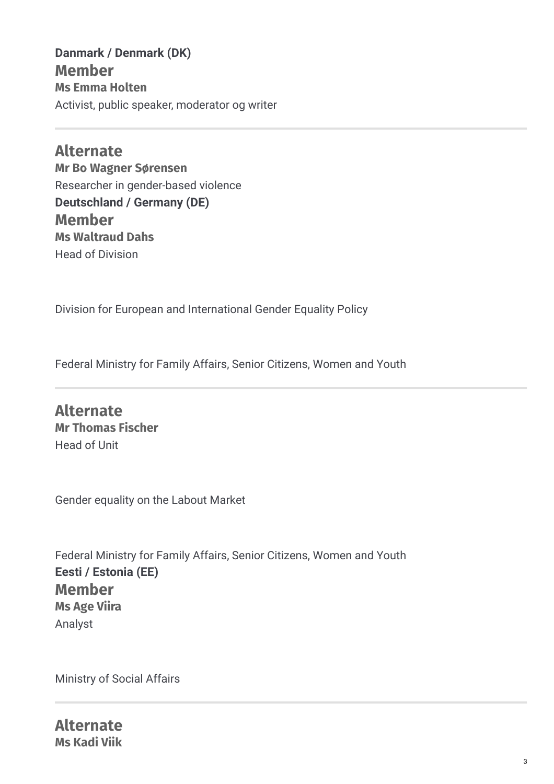**Member Ms Emma Holten** Activist, public speaker, moderator og writer **Danmark / Denmark (DK)**

**Alternate Mr Bo Wagner Sørensen** Researcher in gender-based violence **Member Ms Waltraud Dahs** Head of Division **Deutschland / Germany (DE)**

Division for European and International Gender Equality Policy

Federal Ministry for Family Affairs, Senior Citizens, Women and Youth

**Alternate Mr Thomas Fischer** Head of Unit

Gender equality on the Labout Market

Federal Ministry for Family Affairs, Senior Citizens, Women and Youth **Member Ms Age Viira** Analyst **Eesti / Estonia (EE)**

Ministry of Social Affairs

**Alternate Ms Kadi Viik**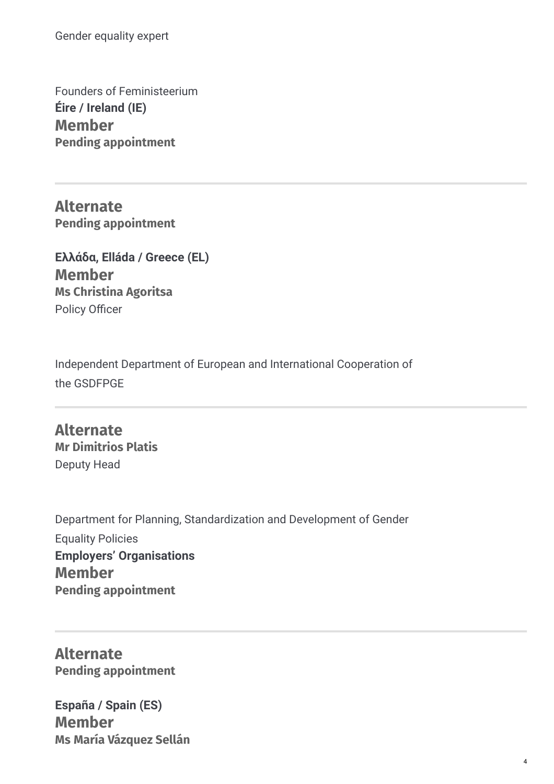Gender equality expert

Founders of Feministeerium **Member Pending appointment Éire / Ireland (IE)**

**Alternate Pending appointment**

**Member Ms Christina Agoritsa** Policy Officer **Ελλάδα, Elláda / Greece (EL)**

Independent Department of European and International Cooperation of the GSDFPGE

**Alternate Mr Dimitrios Platis** Deputy Head

Department for Planning, Standardization and Development of Gender Equality Policies **Member Pending appointment Employers' Organisations**

**Alternate Pending appointment**

**Member Ms María Vázquez Sellán España / Spain (ES)**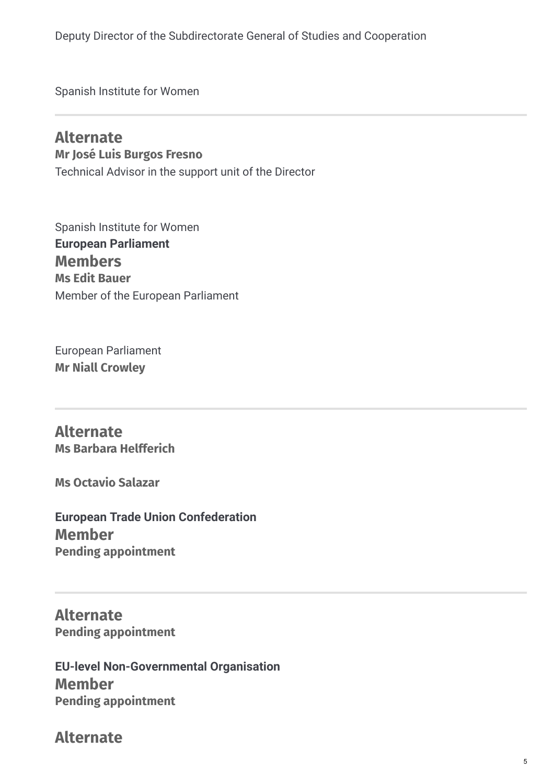Deputy Director of the Subdirectorate General of Studies and Cooperation

Spanish Institute for Women

#### **Alternate Mr José Luis Burgos Fresno** Technical Advisor in the support unit of the Director

Spanish Institute for Women **Members Ms Edit Bauer** Member of the European Parliament **European Parliament**

European Parliament **Mr Niall Crowley**

**Alternate Ms Barbara Helfferich**

**Ms Octavio Salazar**

**Member Pending appointment European Trade Union Confederation**

**Alternate Pending appointment**

**Member Pending appointment EU-level Non-Governmental Organisation**

**Alternate**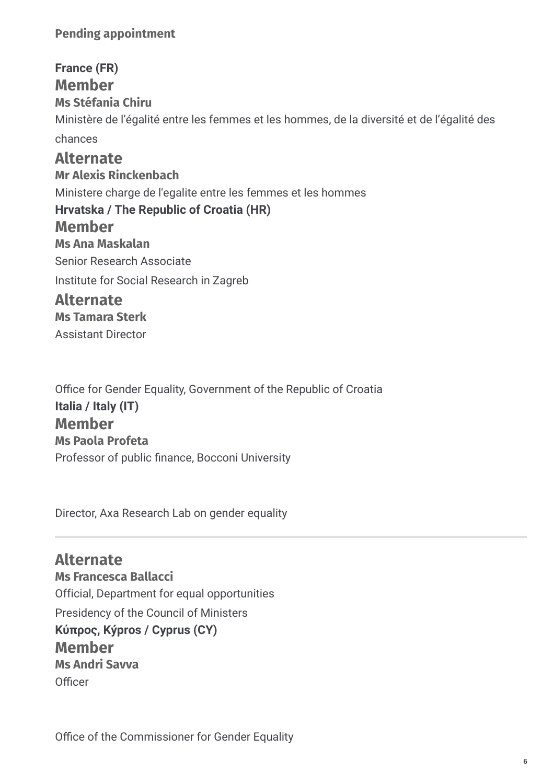#### **Pending appointment**

**Member Ms Stéfania Chiru** Ministère de l'égalité entre les femmes et les hommes, de la diversité et de l'égalité des chances **Alternate Mr Alexis Rinckenbach** Ministere charge de l'egalite entre les femmes et les hommes **Member Ms Ana Maskalan** Senior Research Associate Institute for Social Research in Zagreb **Alternate Ms Tamara Sterk France (FR) Hrvatska / The Republic of Croatia (HR)**

Assistant Director

Office for Gender Equality, Government of the Republic of Croatia **Member Ms Paola Profeta** Professor of public finance, Bocconi University **Italia / Italy (IT)**

Director, Axa Research Lab on gender equality

**Alternate Ms Francesca Ballacci** Official, Department for equal opportunities Presidency of the Council of Ministers **Member Ms Andri Savva** Officer **Κύπρος, Kýpros / Cyprus (CY)**

Office of the Commissioner for Gender Equality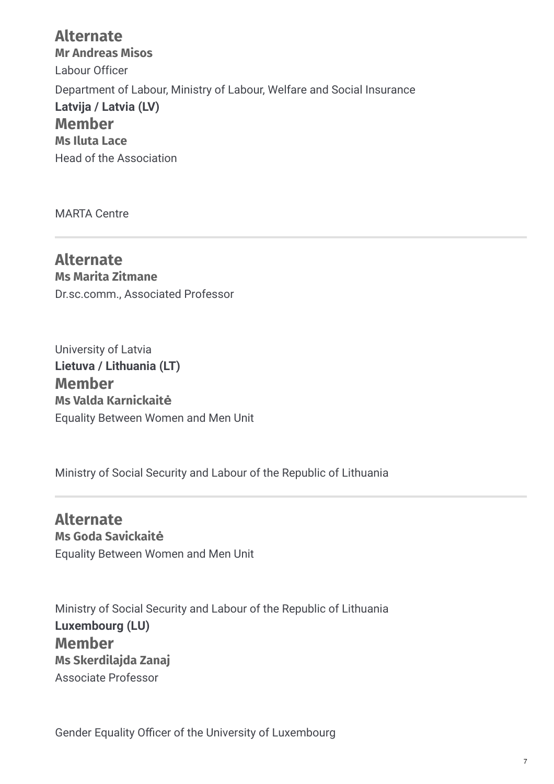## **Alternate Mr Andreas Misos** Labour Officer Department of Labour, Ministry of Labour, Welfare and Social Insurance **Member Ms Iluta Lace** Head of the Association **Latvija / Latvia (LV)**

MARTA Centre

**Alternate Ms Marita Zitmane** Dr.sc.comm., Associated Professor

University of Latvia **Member Ms Valda Karnickaitė** Equality Between Women and Men Unit **Lietuva / Lithuania (LT)**

Ministry of Social Security and Labour of the Republic of Lithuania

**Alternate Ms Goda Savickaitė** Equality Between Women and Men Unit

Ministry of Social Security and Labour of the Republic of Lithuania **Member Ms Skerdilajda Zanaj** Associate Professor **Luxembourg (LU)**

Gender Equality Officer of the University of Luxembourg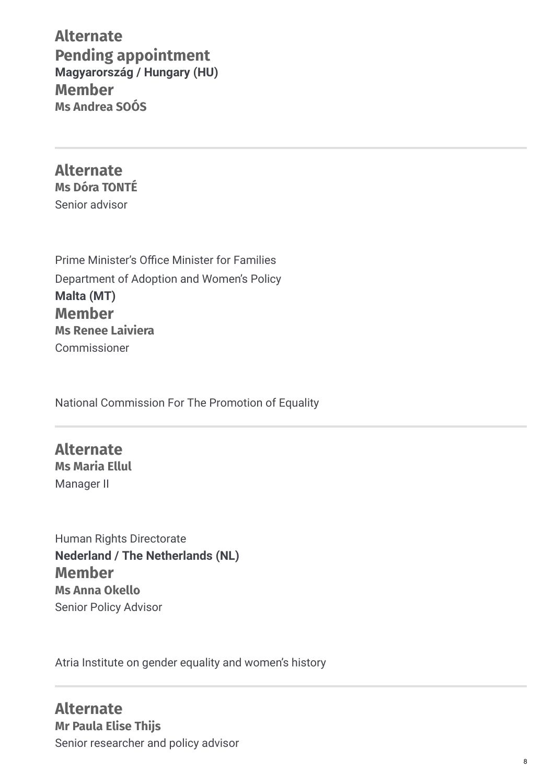**Alternate Pending appointment Member Ms Andrea SOÓS Magyarország / Hungary (HU)**

**Alternate Ms Dóra TONTÉ** Senior advisor

Prime Minister's Office Minister for Families Department of Adoption and Women's Policy **Member Ms Renee Laiviera** Commissioner **Malta (MT)**

National Commission For The Promotion of Equality

**Alternate Ms Maria Ellul** Manager II

Human Rights Directorate **Member Ms Anna Okello** Senior Policy Advisor **Nederland / The Netherlands (NL)**

Atria Institute on gender equality and women's history

**Alternate Mr Paula Elise Thijs** Senior researcher and policy advisor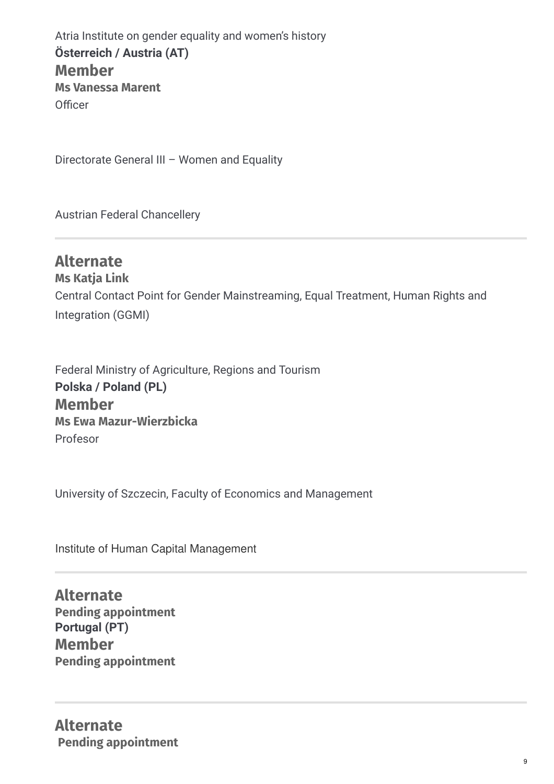Atria Institute on gender equality and women's history **Member Ms Vanessa Marent** Officer **Österreich / Austria (AT)**

Directorate General III – Women and Equality

Austrian Federal Chancellery

## **Alternate Ms Katja Link** Central Contact Point for Gender Mainstreaming, Equal Treatment, Human Rights and Integration (GGMI)

Federal Ministry of Agriculture, Regions and Tourism **Member Ms Ewa Mazur-Wierzbicka** Profesor **Polska / Poland (PL)**

University of Szczecin, Faculty of Economics and Management

Institute of Human Capital Management

**Alternate Pending appointment Member Pending appointment Portugal (PT)**

**Alternate Pending appointment**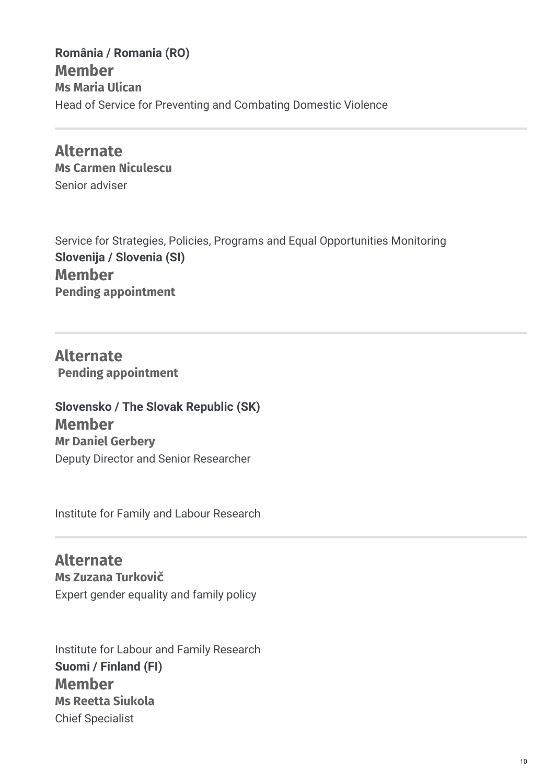**Member Ms Maria Ulican** Head of Service for Preventing and Combating Domestic Violence **România / Romania (RO)**

**Alternate Ms Carmen Niculescu** Senior adviser

Service for Strategies, Policies, Programs and Equal Opportunities Monitoring **Member Pending appointment Slovenija / Slovenia (SI)**

**Alternate Pending appointment**

**Member Mr Daniel Gerbery** Deputy Director and Senior Researcher **Slovensko / The Slovak Republic (SK)**

Institute for Family and Labour Research

**Alternate Ms Zuzana Turkovič** Expert gender equality and family policy

Institute for Labour and Family Research **Member Ms Reetta Siukola** Chief Specialist **Suomi / Finland (FI)**